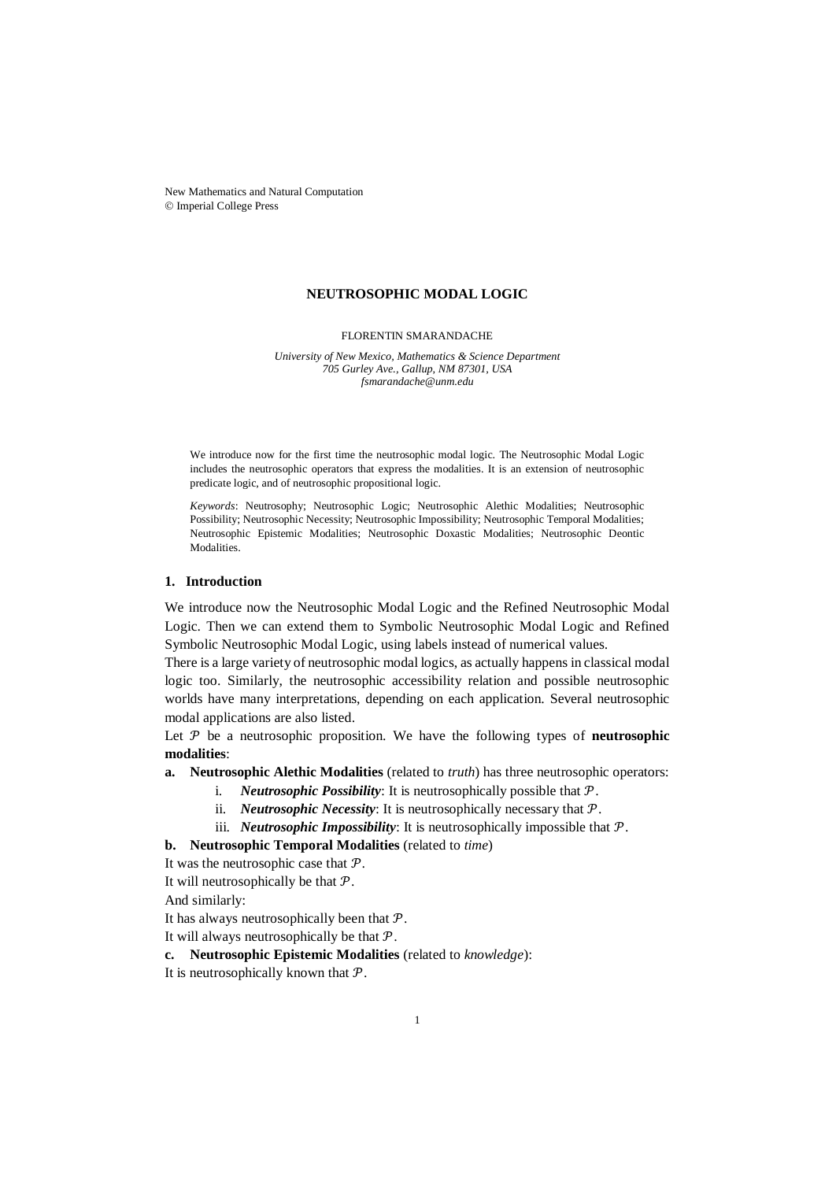New Mathematics and Natural Computation Imperial College Press

#### **NEUTROSOPHIC MODAL LOGIC**

FLORENTIN SMARANDACHE

*University of New Mexico, Mathematics & Science Department 705 Gurley Ave., Gallup, NM 87301, USA fsmarandache@unm.edu*

We introduce now for the first time the neutrosophic modal logic. The Neutrosophic Modal Logic includes the neutrosophic operators that express the modalities. It is an extension of neutrosophic predicate logic, and of neutrosophic propositional logic.

*Keywords*: Neutrosophy; Neutrosophic Logic; Neutrosophic Alethic Modalities; Neutrosophic Possibility; Neutrosophic Necessity; Neutrosophic Impossibility; Neutrosophic Temporal Modalities; Neutrosophic Epistemic Modalities; Neutrosophic Doxastic Modalities; Neutrosophic Deontic Modalities.

## **1. Introduction**

We introduce now the Neutrosophic Modal Logic and the Refined Neutrosophic Modal Logic. Then we can extend them to Symbolic Neutrosophic Modal Logic and Refined Symbolic Neutrosophic Modal Logic, using labels instead of numerical values.

There is a large variety of neutrosophic modal logics, as actually happens in classical modal logic too. Similarly, the neutrosophic accessibility relation and possible neutrosophic worlds have many interpretations, depending on each application. Several neutrosophic modal applications are also listed.

Let  $P$  be a neutrosophic proposition. We have the following types of **neutrosophic modalities**:

**a. Neutrosophic Alethic Modalities** (related to *truth*) has three neutrosophic operators:

- i. *Neutrosophic Possibility*: It is neutrosophically possible that  $P$ .
- ii. *Neutrosophic Necessity*: It is neutrosophically necessary that  $P$ .
- iii. *Neutrosophic Impossibility*: It is neutrosophically impossible that  $P$ .

**b. Neutrosophic Temporal Modalities** (related to *time*)

It was the neutrosophic case that  $P$ .

It will neutrosophically be that  $P$ .

And similarly:

It has always neutrosophically been that  $P$ .

It will always neutrosophically be that  $P$ .

**c. Neutrosophic Epistemic Modalities** (related to *knowledge*):

It is neutrosophically known that  $P$ .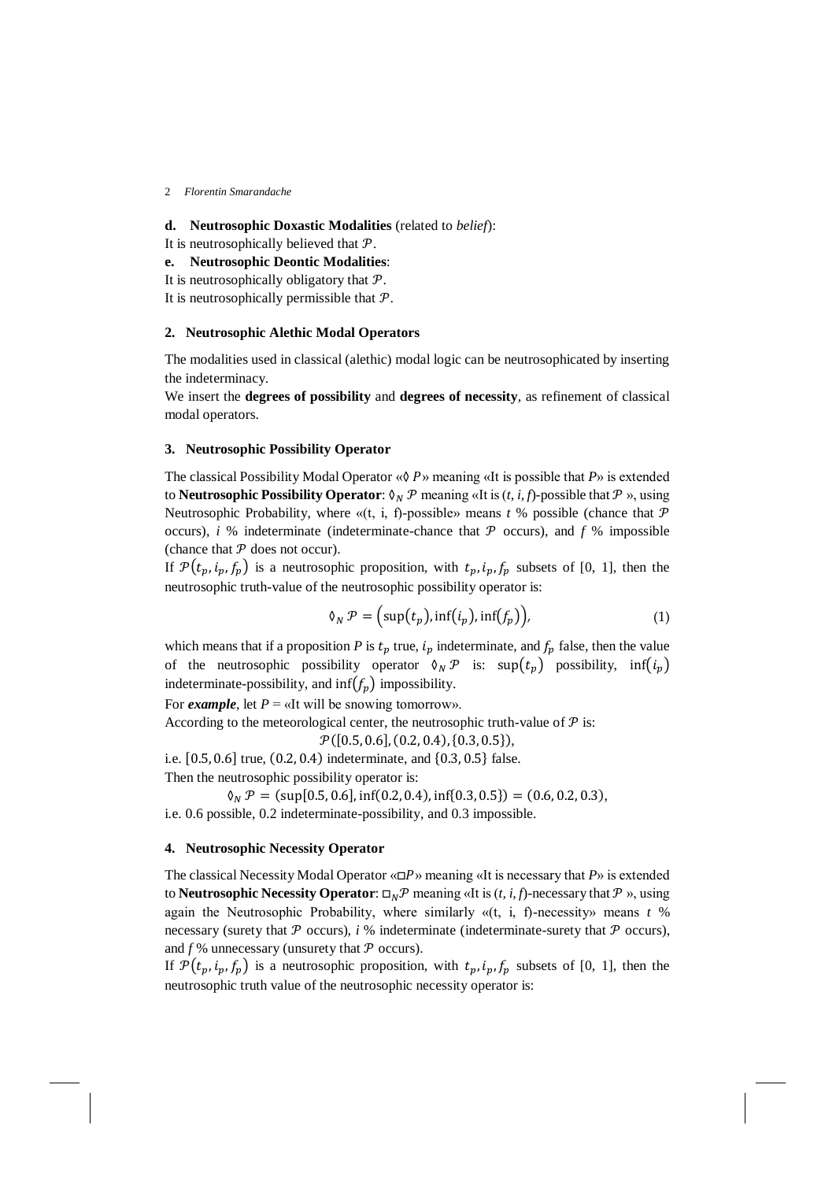## **d. Neutrosophic Doxastic Modalities** (related to *belief*):

It is neutrosophically believed that  $P$ .

- **e. Neutrosophic Deontic Modalities**:
- It is neutrosophically obligatory that  $P$ .

It is neutrosophically permissible that  $P$ .

### **2. Neutrosophic Alethic Modal Operators**

The modalities used in classical (alethic) modal logic can be neutrosophicated by inserting the indeterminacy.

We insert the **degrees of possibility** and **degrees of necessity**, as refinement of classical modal operators.

### **3. Neutrosophic Possibility Operator**

The classical Possibility Modal Operator «◊ » meaning «It is possible that *P*» is extended to **Neutrosophic Possibility Operator**:  $\mathcal{O}_N$   $\mathcal{P}$  meaning «It is  $(t, i, f)$ -possible that  $\mathcal{P}$ », using Neutrosophic Probability, where  $\mathcal{A}(t, i, f)$ -possible» means  $t$  % possible (chance that  $\mathcal P$ occurs), *i* % indeterminate (indeterminate-chance that  $\mathcal P$  occurs), and  $f$  % impossible (chance that  $P$  does not occur).

If  $\mathcal{P}(t_p, i_p, f_p)$  is a neutrosophic proposition, with  $t_p, i_p, f_p$  subsets of [0, 1], then the neutrosophic truth-value of the neutrosophic possibility operator is:

$$
\delta_N \mathcal{P} = \left(\sup(t_p), \inf(t_p), \inf(f_p)\right),\tag{1}
$$

which means that if a proposition *P* is  $t_p$  true,  $i_p$  indeterminate, and  $f_p$  false, then the value of the neutrosophic possibility operator  $\delta_N \mathcal{P}$  is:  $\sup(t_p)$  possibility,  $\inf(t_p)$ indeterminate-possibility, and  $\inf(f_p)$  impossibility.

For *example*, let  $P = \alpha$ It will be snowing tomorrow».

According to the meteorological center, the neutrosophic truth-value of  $P$  is:

 $\mathcal{P}([0.5, 0.6], (0.2, 0.4), (0.3, 0.5]),$ 

i.e. [0.5,0.6] true, (0.2, 0.4) indeterminate, and {0.3, 0.5} false.

Then the neutrosophic possibility operator is:

 $\mathcal{N}_N \mathcal{P} = (\sup[0.5, 0.6], \inf(0.2, 0.4), \inf\{0.3, 0.5\}) = (0.6, 0.2, 0.3),$ i.e. 0.6 possible, 0.2 indeterminate-possibility, and 0.3 impossible.

#### **4. Neutrosophic Necessity Operator**

The classical Necessity Modal Operator «□» meaning «It is necessary that *P*» is extended to **Neutrosophic Necessity Operator**:  $\Box_N \mathcal{P}$  meaning «It is  $(t, i, f)$ -necessary that  $\mathcal{P}$ », using again the Neutrosophic Probability, where similarly «(t, i, f)-necessity» means *t* % necessary (surety that  $P$  occurs),  $i$  % indeterminate (indeterminate-surety that  $P$  occurs), and  $f$ % unnecessary (unsurety that  $P$  occurs).

If  $\mathcal{P}(t_p, i_p, f_p)$  is a neutrosophic proposition, with  $t_p, i_p, f_p$  subsets of [0, 1], then the neutrosophic truth value of the neutrosophic necessity operator is: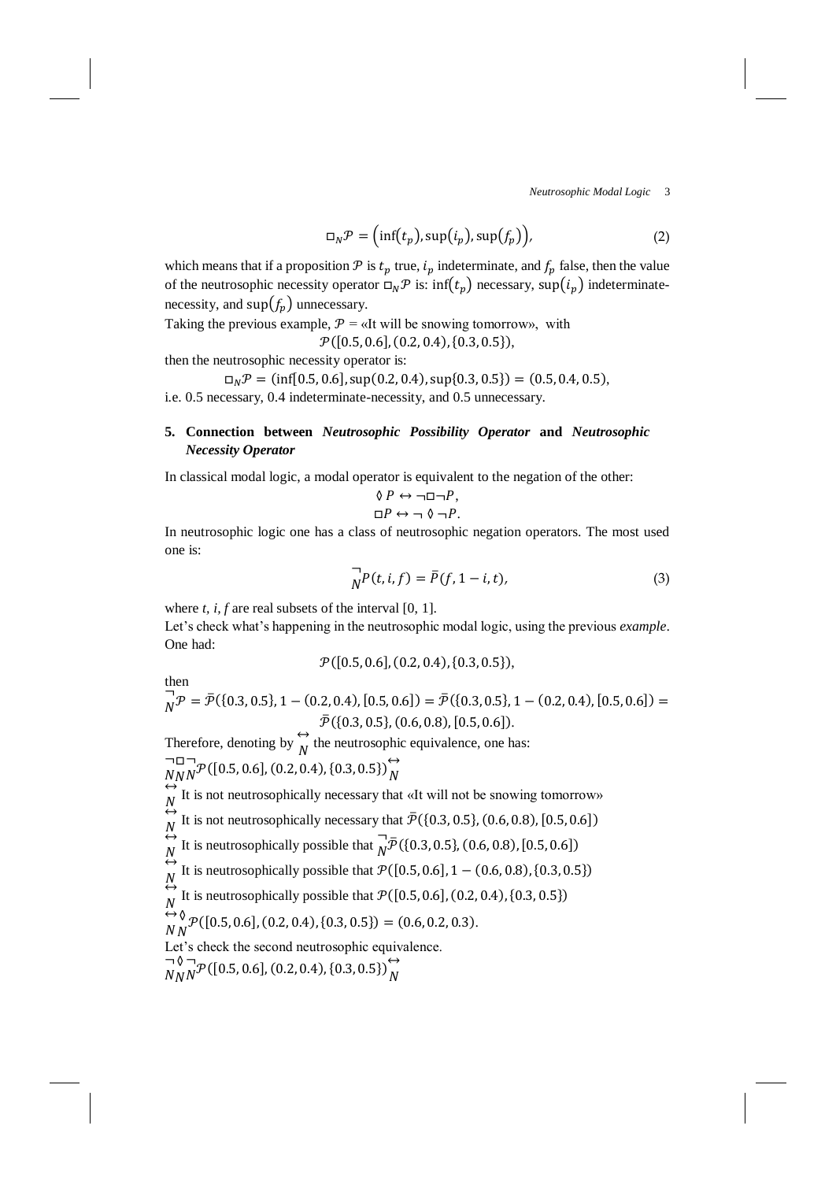*Neutrosophic Modal Logic* 3

$$
\Box_N \mathcal{P} = (\inf(t_p), \sup(t_p), \sup(f_p)), \tag{2}
$$

which means that if a proposition  $P$  is  $t_p$  true,  $i_p$  indeterminate, and  $f_p$  false, then the value of the neutrosophic necessity operator  $\Box_N \mathcal{P}$  is: inf $(t_n)$  necessary, sup $(i_n)$  indeterminatenecessity, and  $\sup(f_n)$  unnecessary.

Taking the previous example,  $P = \alpha$ It will be snowing tomorrow», with  $\mathcal{P}([0.5, 0.6], (0.2, 0.4), (0.3, 0.5]),$ 

then the neutrosophic necessity operator is:

 $\Box_N \mathcal{P} = (\inf[0.5, 0.6], \sup(0.2, 0.4), \sup(0.3, 0.5)) = (0.5, 0.4, 0.5),$ i.e. 0.5 necessary, 0.4 indeterminate-necessity, and 0.5 unnecessary.

## **5. Connection between** *Neutrosophic Possibility Operator* **and** *Neutrosophic Necessity Operator*

In classical modal logic, a modal operator is equivalent to the negation of the other:

$$
\begin{aligned} \Diamond \, P &\leftrightarrow \neg \Box \neg P, \\ \Box P &\leftrightarrow \neg \, \Diamond \, \neg P. \end{aligned}
$$

In neutrosophic logic one has a class of neutrosophic negation operators. The most used one is:

$$
\overrightarrow{N}P(t, i, f) = \overline{P}(f, 1 - i, t),
$$
\n(3)

where *t, i, f* are real subsets of the interval [0, 1].

Let's check what's happening in the neutrosophic modal logic, using the previous *example*. One had:

$$
\mathcal{P}([0.5, 0.6], (0.2, 0.4), (0.3, 0.5]),
$$

then  $\neg$ 

$$
\overrightarrow{N} \mathcal{P} = \overline{\mathcal{P}}(\{0.3, 0.5\}, 1 - (0.2, 0.4), [0.5, 0.6]) = \overline{\mathcal{P}}(\{0.3, 0.5\}, 1 - (0.2, 0.4), [0.5, 0.6]) = \overline{\mathcal{P}}(\{0.3, 0.5\}, (0.6, 0.8), [0.5, 0.6]).
$$

Therefore, denoting by  $\overleftrightarrow{N}$  the neutrosophic equivalence, one has:

$$
\bigcap_{NNN} \neg \Box \neg \mathcal{P}([0.5, 0.6], (0.2, 0.4), \{0.3, 0.5\}) \bigoplus_{N} \neg
$$

 $N_{NN}^{N}$  (10.5, 0.6), (0.2, 0.4), (0.5, 0.5))  $N$ <br> $\leftrightarrow N$  It is not neutrosophically necessary that «It will not be snowing tomorrow»

 $\overset{N}{\leftrightarrow}$ It is not neutrosophically necessary that  $\bar{\mathcal{P}}$ ({0.3, 0.5}, (0.6, 0.8), [0.5, 0.6])

 $\overset{N}{\leftrightarrow}$ It is neutrosophically possible that  $\overline{M}$  $\overline{N}$  $\overline{P}$ ({0.3, 0.5}, (0.6, 0.8), [0.5, 0.6])

 $\overset{N}{\leftrightarrow}$  $\overset{N}{\leftrightarrow}$ It is neutrosophically possible that  $\mathcal{P}([0.5, 0.6], 1 - (0.6, 0.8), \{0.3, 0.5\})$ 

It is neutrosophically possible that  $P([0.5, 0.6], (0.2, 0.4), (0.3, 0.5))$ 

 $\stackrel{N}{\leftrightarrow} \stackrel{1}{\diamond}$  $N<sub>N</sub>$  $\mathcal{P}([0.5, 0.6], (0.2, 0.4), \{0.3, 0.5\}) = (0.6, 0.2, 0.3).$ 

Let's check the second neutrosophic equivalence.

$$
\bigcap_{NNN}^{N} \mathcal{P}([0.5, 0.6], (0.2, 0.4), \{0.3, 0.5\}) \bigg)_{N}^{\leftrightarrow}
$$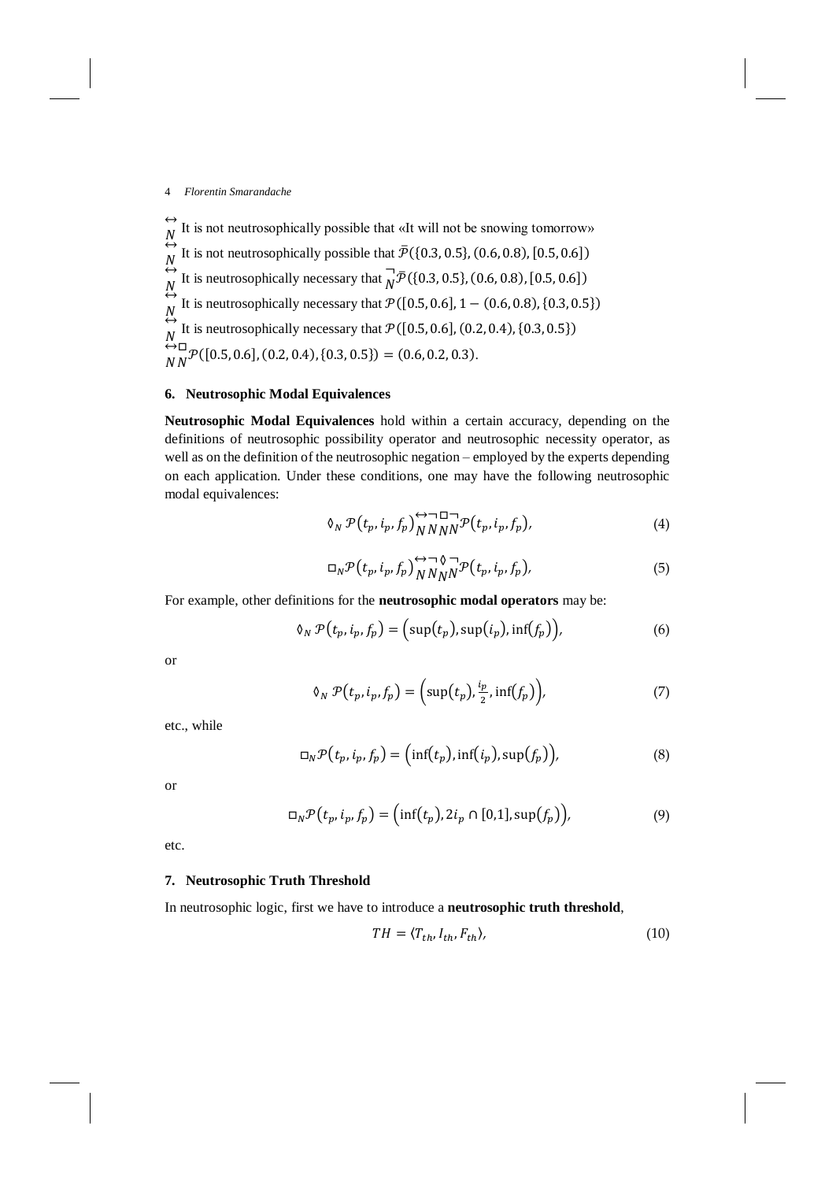$\leftrightarrow$  $\overset{N}{\leftrightarrow}$ It is not neutrosophically possible that «It will not be snowing tomorrow»  $\overset{N}{\leftrightarrow}$ It is not neutrosophically possible that  $\bar{\mathcal{P}}(\{0.3, 0.5\}, (0.6, 0.8), [0.5, 0.6])$  $\overset{N}{\leftrightarrow}$ It is neutrosophically necessary that  $\overline{N}$  $\overline{N}$  $\overline{P}$ ({0.3, 0.5}, (0.6, 0.8), [0.5, 0.6])  $\overset{N}{\leftrightarrow}$ It is neutrosophically necessary that  $\mathcal{P}([0.5, 0.6], 1 - (0.6, 0.8), \{0.3, 0.5\})$  $\stackrel{N}{\leftrightarrow}$ It is neutrosophically necessary that  $P([0.5, 0.6], (0.2, 0.4), \{0.3, 0.5\})$  $(N_{N}^{1} \mathcal{P}([0.5, 0.6], (0.2, 0.4), \{0.3, 0.5\}) = (0.6, 0.2, 0.3).$ 

## **6. Neutrosophic Modal Equivalences**

**Neutrosophic Modal Equivalences** hold within a certain accuracy, depending on the definitions of neutrosophic possibility operator and neutrosophic necessity operator, as well as on the definition of the neutrosophic negation – employed by the experts depending on each application. Under these conditions, one may have the following neutrosophic modal equivalences:

$$
\delta_N \mathcal{P}(t_p, i_p, f_p) \bigotimes_{NNNN} \mathcal{P}(t_p, i_p, f_p), \tag{4}
$$

$$
\Box_N \mathcal{P}(t_p, i_p, f_p)_{NNNN}^{\leftrightarrow \neg \Diamond \neg} \mathcal{P}(t_p, i_p, f_p), \tag{5}
$$

For example, other definitions for the **neutrosophic modal operators** may be:

$$
\delta_N \mathcal{P}(t_p, i_p, f_p) = \Big(\sup(t_p), \sup(i_p), \inf(f_p)\Big),\tag{6}
$$

or

$$
\delta_N \mathcal{P}(t_p, i_p, f_p) = \left(\sup(t_p), \frac{i_p}{2}, \inf(f_p)\right),\tag{7}
$$

etc., while

$$
\Box_N \mathcal{P}(t_p, i_p, f_p) = \Big(\inf(t_p), \inf(i_p), \sup(f_p)\Big),\tag{8}
$$

or

$$
\Box_N \mathcal{P}(t_p, i_p, f_p) = \Big(\inf(t_p), 2i_p \cap [0,1], \sup(f_p)\Big),\tag{9}
$$

etc.

## **7. Neutrosophic Truth Threshold**

In neutrosophic logic, first we have to introduce a **neutrosophic truth threshold**,

$$
TH = \langle T_{th}, I_{th}, F_{th} \rangle, \tag{10}
$$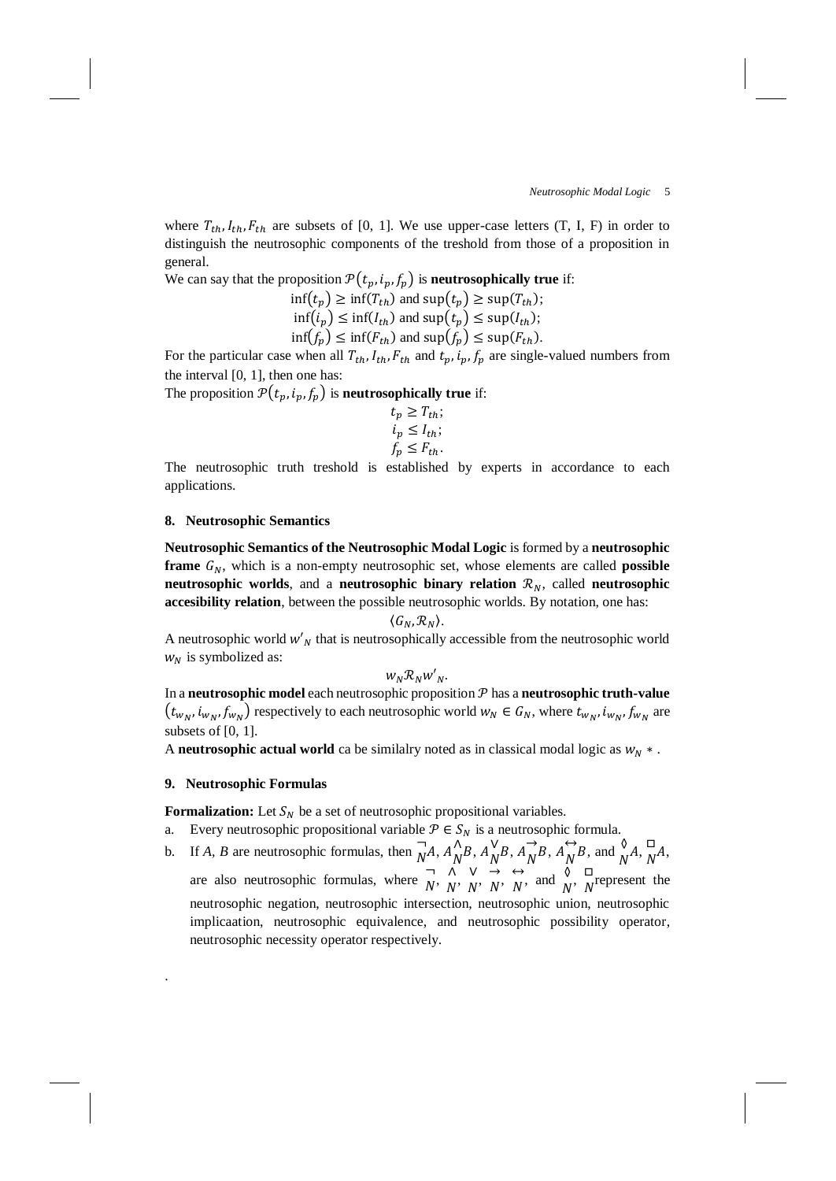where  $T_{th}$ ,  $I_{th}$ ,  $F_{th}$  are subsets of [0, 1]. We use upper-case letters (T, I, F) in order to distinguish the neutrosophic components of the treshold from those of a proposition in general.

We can say that the proposition  $\mathcal{P}(t_p, i_p, f_p)$  is **neutrosophically true** if:

$$
\inf(t_p) \ge \inf(T_{th}) \text{ and } \sup(t_p) \ge \sup(T_{th});
$$
  

$$
\inf(i_p) \le \inf(I_{th}) \text{ and } \sup(t_p) \le \sup(I_{th});
$$
  

$$
\inf(f_p) \le \inf(F_{th}) \text{ and } \sup(f_p) \le \sup(F_{th}).
$$

For the particular case when all  $T_{th}$ ,  $I_{th}$ ,  $F_{th}$  and  $t_p$ ,  $i_p$ ,  $f_p$  are single-valued numbers from the interval [0, 1], then one has:

The proposition  $\mathcal{P}(t_p, i_p, f_p)$  is **neutrosophically true** if:

$$
t_p \geq T_{th};
$$
  
\n
$$
i_p \leq I_{th};
$$
  
\n
$$
f_p \leq F_{th}.
$$

The neutrosophic truth treshold is established by experts in accordance to each applications.

### **8. Neutrosophic Semantics**

**Neutrosophic Semantics of the Neutrosophic Modal Logic** is formed by a **neutrosophic frame**  $G_N$ , which is a non-empty neutrosophic set, whose elements are called **possible neutrosophic worlds**, and a **neutrosophic binary relation**  $\mathcal{R}_N$ , called **neutrosophic accesibility relation**, between the possible neutrosophic worlds. By notation, one has:

$$
\langle G_N, \mathcal{R}_N \rangle.
$$

A neutrosophic world  $w'$ <sub>N</sub> that is neutrosophically accessible from the neutrosophic world  $w_N$  is symbolized as:

 $W_N \mathcal{R}_N W'_{N}$ .

In a **neutrosophic model** each neutrosophic proposition  $P$  has a **neutrosophic truth-value**  $(t_{w_N}, i_{w_N}, f_{w_N})$  respectively to each neutrosophic world  $w_N \in G_N$ , where  $t_{w_N}, i_{w_N}, f_{w_N}$  are subsets of [0, 1].

A **neutrosophic actual world** ca be similalry noted as in classical modal logic as  $w<sub>N</sub> *$ .

#### **9. Neutrosophic Formulas**

.

**Formalization:** Let  $S_N$  be a set of neutrosophic propositional variables.

- a. Every neutrosophic propositional variable  $P \in S_N$  is a neutrosophic formula.
- b. If *A*, *B* are neutrosophic formulas, then  $\overrightarrow{N}$  $\overline{N}A$ ,  $A_N^{\Lambda}$  $\bigwedge^{\Lambda} B$ ,  $A_N^{\vee}$  $\bigwedge^V B, A_N^{\rightarrow}$  $\overrightarrow{N}B$ ,  $A_{N}^{\leftrightarrow}$  $\overleftrightarrow{N}B$ , and  $\overleftrightarrow{N}A$ ,  $\overrightarrow{N}$  $\overline{N}A,$ are also neutrosophic formulas, where  $\overline{N}$ ⊃ ∧<br>*N*' *N* ∧ ∨<br>*N' N*  $\begin{array}{ccc} \vee & \rightarrow \\ N' & N \end{array}$  $\rightarrow$   $\leftrightarrow$ <br> $N$ ' N  $\overleftrightarrow{N}$ , and  $\overrightarrow{N}$ ,  $\overrightarrow{N}$  $\overline{N}$  represent the neutrosophic negation, neutrosophic intersection, neutrosophic union, neutrosophic implicaation, neutrosophic equivalence, and neutrosophic possibility operator, neutrosophic necessity operator respectively.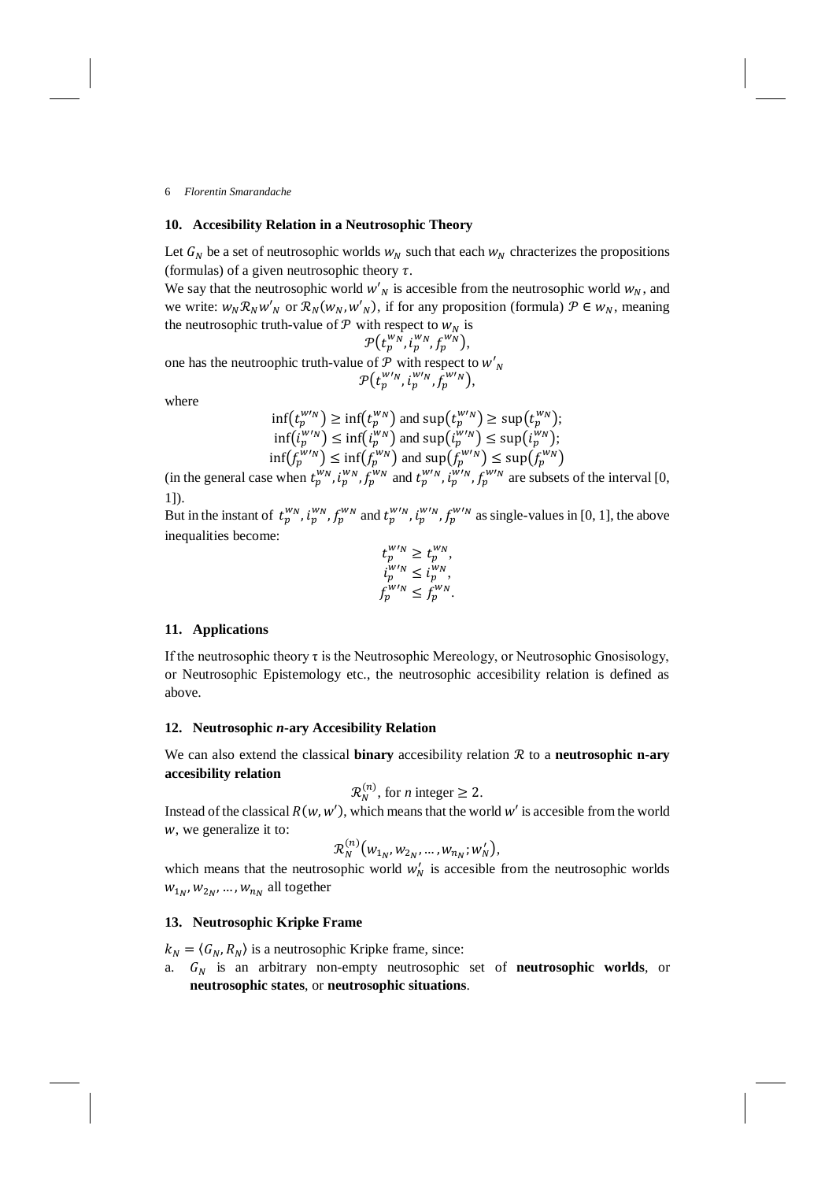### **10. Accesibility Relation in a Neutrosophic Theory**

Let  $G_N$  be a set of neutrosophic worlds  $w_N$  such that each  $w_N$  chracterizes the propositions (formulas) of a given neutrosophic theory  $\tau$ .

We say that the neutrosophic world  $w'_{N}$  is accesible from the neutrosophic world  $w_{N}$ , and we write:  $w_N \mathcal{R}_N w'_N$  or  $\mathcal{R}_N(w_N, w'_N)$ , if for any proposition (formula)  $\mathcal{P} \in w_N$ , meaning the neutrosophic truth-value of  $P$  with respect to  $W_N$  is

$$
\mathcal{P}(t_p^{w_N}, t_p^{w_N}, f_p^{w_N}),
$$

one has the neutroophic truth-value of  $P$  with respect to  $w'_{N}$  $\mathcal{P}\big(t_p^{W'N},\dot t_p^{W'N},\bar f_p^{W'N}\big),$ 

where

$$
\inf(t_p^{w/n}) \ge \inf(t_p^{w_N}) \text{ and } \sup(t_p^{w/n}) \ge \sup(t_p^{w_N});
$$
  
\n
$$
\inf(t_p^{w/n}) \le \inf(t_p^{w_N}) \text{ and } \sup(t_p^{w/n}) \le \sup(t_p^{w_N});
$$
  
\n
$$
\inf(f_p^{w/n}) \le \inf(t_p^{w_N}) \text{ and } \sup(t_p^{w/n}) \le \sup(t_p^{w_N})
$$

(in the general case when  $t_p^{w_N}$ ,  $i_p^{w_N}$ ,  $f_p^{w_N}$  and  $t_p^{w_N}$ ,  $i_p^{w_N}$ ,  $f_p^{w_N}$  are subsets of the interval [0, 1]).

But in the instant of  $t_p^{w_N}$ ,  $t_p^{w_N}$ ,  $f_p^{w_N}$  and  $t_p^{w_N}$ ,  $t_p^{w_N}$ ,  $f_p^{w_N}$  as single-values in [0, 1], the above inequalities become:

$$
t_p^{w\nu_N} \ge t_p^{w_N},
$$
  
\n
$$
t_p^{w\nu_N} \le t_p^{w_N},
$$
  
\n
$$
f_p^{w\nu_N} \le f_p^{w_N}.
$$

## **11. Applications**

If the neutrosophic theory  $\tau$  is the Neutrosophic Mereology, or Neutrosophic Gnosisology, or Neutrosophic Epistemology etc., the neutrosophic accesibility relation is defined as above.

## **12. Neutrosophic** *n***-ary Accesibility Relation**

We can also extend the classical **binary** accesibility relation  $\mathcal{R}$  to a **neutrosophic n-ary accesibility relation**

$$
\mathcal{R}_N^{(n)}
$$
, for *n* integer  $\geq 2$ .

Instead of the classical  $R(w, w')$ , which means that the world  $w'$  is accesible from the world , we generalize it to:

$$
\mathcal{R}_N^{(n)}(w_{1_N}, w_{2_N}, \ldots, w_{n_N}; w'_N),
$$

which means that the neutrosophic world  $w'_N$  is accesible from the neutrosophic worlds  $w_{1_N}, w_{2_N}, \ldots, w_{n_N}$  all together

## **13. Neutrosophic Kripke Frame**

 $k_N = \langle G_N, R_N \rangle$  is a neutrosophic Kripke frame, since:

a.  $G_N$  is an arbitrary non-empty neutrosophic set of **neutrosophic worlds**, or **neutrosophic states**, or **neutrosophic situations**.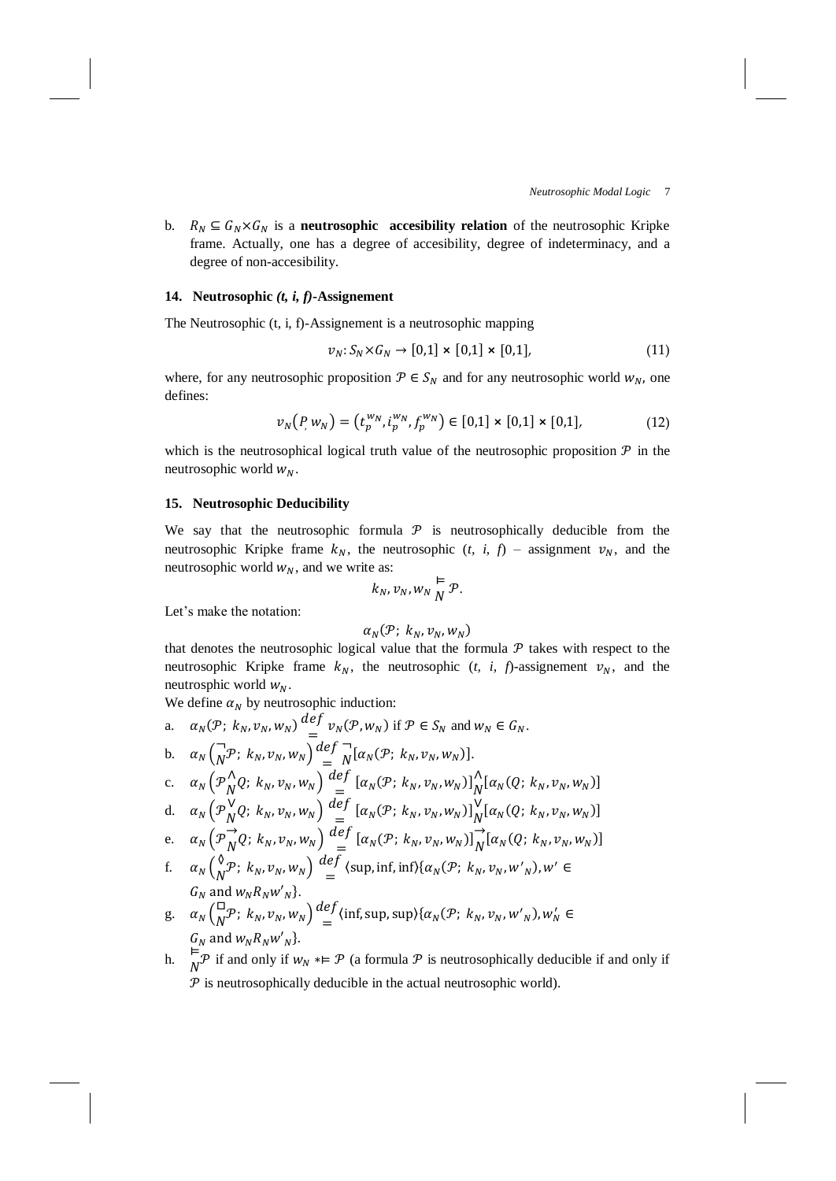b.  $R_N \subseteq G_N \times G_N$  is a **neutrosophic accesibility relation** of the neutrosophic Kripke frame. Actually, one has a degree of accesibility, degree of indeterminacy, and a degree of non-accesibility.

## **14. Neutrosophic** *(t, i, f)***-Assignement**

The Neutrosophic (t, i, f)-Assignement is a neutrosophic mapping

$$
v_N: S_N \times G_N \to [0,1] \times [0,1] \times [0,1], \tag{11}
$$

where, for any neutrosophic proposition  $P \in S_N$  and for any neutrosophic world  $w_N$ , one defines:

$$
\nu_N(P, w_N) = (t_p^{w_N}, t_p^{w_N}, f_p^{w_N}) \in [0,1] \times [0,1] \times [0,1],
$$
 (12)

which is the neutrosophical logical truth value of the neutrosophic proposition  $P$  in the neutrosophic world  $w_N$ .

#### **15. Neutrosophic Deducibility**

We say that the neutrosophic formula  $\mathcal P$  is neutrosophically deducible from the neutrosophic Kripke frame  $k_N$ , the neutrosophic  $(t, i, f)$  – assignment  $v_N$ , and the neutrosophic world  $w_N$ , and we write as:

$$
k_N, v_N, w_N \overset{\vDash}{N} \mathcal{P}.
$$

Let's make the notation:

$$
\alpha_N(\mathcal{P};\; k_N,v_N,w_N)
$$

that denotes the neutrosophic logical value that the formula  $P$  takes with respect to the neutrosophic Kripke frame  $k_N$ , the neutrosophic (*t, i, f*)-assignement  $v_N$ , and the neutrosphic world  $W_N$ .

We define  $\alpha_N$  by neutrosophic induction:  $\vec{d}$ f

a. 
$$
\alpha_N(\mathcal{P}; k_N, v_N, w_N) \stackrel{\text{def}}{=} v_N(\mathcal{P}, w_N)
$$
 if  $\mathcal{P} \in S_N$  and  $w_N \in G_N$ .  
\nb.  $\alpha_N \left( \frac{1}{N} \mathcal{P}; k_N, v_N, w_N \right) \stackrel{\text{def}}{=} \frac{1}{N} [\alpha_N(\mathcal{P}; k_N, v_N, w_N)]$ .  
\nc.  $\alpha_N \left( \mathcal{P}_N^{\Lambda} Q; k_N, v_N, w_N \right) \stackrel{\text{def}}{=} [\alpha_N(\mathcal{P}; k_N, v_N, w_N)] \stackrel{\Lambda}{\Lambda} [\alpha_N(Q; k_N, v_N, w_N)]$   
\nd.  $\alpha_N \left( \mathcal{P}_N^{\Lambda} Q; k_N, v_N, w_N \right) \stackrel{\text{def}}{=} [\alpha_N(\mathcal{P}; k_N, v_N, w_N)] \frac{1}{N} [\alpha_N(Q; k_N, v_N, w_N)]$   
\ne.  $\alpha_N \left( \mathcal{P}_N^{\Lambda} Q; k_N, v_N, w_N \right) \stackrel{\text{def}}{=} [\alpha_N(\mathcal{P}; k_N, v_N, w_N)] \frac{1}{N} [\alpha_N(Q; k_N, v_N, w_N)]$   
\nf.  $\alpha_N \left( \frac{1}{N} \mathcal{P}; k_N, v_N, w_N \right) \stackrel{\text{def}}{=} (\text{sup, inf, inf}) \{\alpha_N(\mathcal{P}; k_N, v_N, w_N), w_N \in G_N \text{ and } w_N R_N w_N' \}$ .  
\ng.  $\alpha_N \left( \frac{1}{N} \mathcal{P}; k_N, v_N, w_N \right) \stackrel{\text{def}}{=} (\text{inf, sup, sup}) \{\alpha_N(\mathcal{P}; k_N, v_N, w_N), w_N \in G_N \text{ and } w_N R_N w_N' \}$ .

h.  $\overrightarrow{h}$  if and only if  $w_N * \vDash \mathcal{P}$  (a formula  $\mathcal P$  is neutrosophically deducible if and only if  $P$  is neutrosophically deducible in the actual neutrosophic world).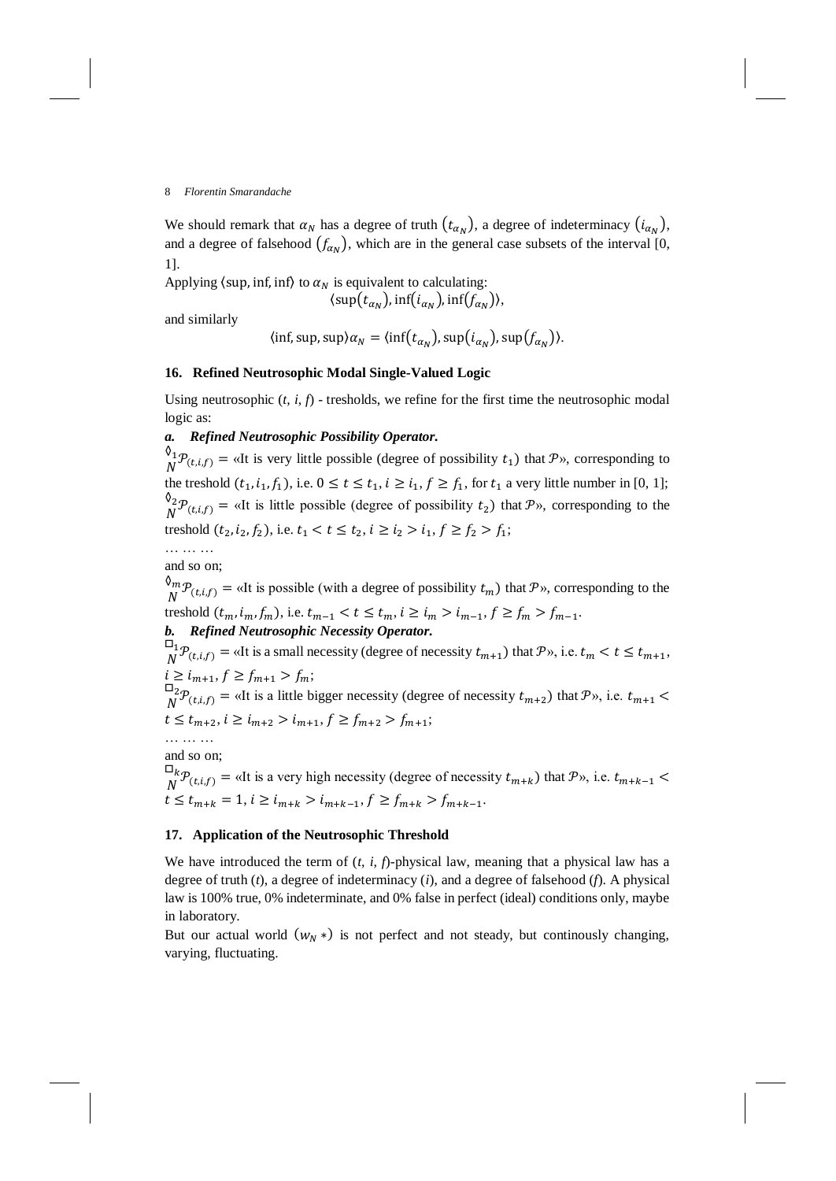We should remark that  $\alpha_N$  has a degree of truth  $(t_{\alpha_N})$ , a degree of indeterminacy  $(i_{\alpha_N})$ , and a degree of falsehood  $(f_{\alpha_N})$ , which are in the general case subsets of the interval [0, 1].

Applying  $\langle \sup$ , inf, inf $\rangle$  to  $\alpha_N$  is equivalent to calculating:

$$
\langle \mathrm{sup}(t_{\alpha_N}), \mathrm{inf}(i_{\alpha_N}), \mathrm{inf}(f_{\alpha_N}) \rangle,
$$

and similarly

$$
\langle \inf, \sup, \sup \rangle \alpha_N = \langle \inf \bigl( t_{\alpha_N} \bigr), \sup \bigl( i_{\alpha_N} \bigr), \sup \bigl( f_{\alpha_N} \bigr) \rangle.
$$

## **16. Refined Neutrosophic Modal Single-Valued Logic**

Using neutrosophic (*t, i, f*) - tresholds, we refine for the first time the neutrosophic modal logic as:

## *a. Refined Neutrosophic Possibility Operator.*

 $\oint_M \mathcal{P}_{(t,i,f)}$  = «It is very little possible (degree of possibility  $t_1$ ) that  $\mathcal{P}_N$ , corresponding to  $\overline{N}$ the treshold  $(t_1, i_1, f_1)$ , i.e.  $0 \le t \le t_1$ ,  $i \ge i_1$ ,  $f \ge f_1$ , for  $t_1$  a very little number in [0, 1];  $\mathsf{0}_2$  $N^2 \mathcal{P}_{(t,i,f)}$  = «It is little possible (degree of possibility  $t_2$ ) that  $\mathcal{P}_2$ », corresponding to the treshold  $(t_2, i_2, f_2)$ , i.e.  $t_1 < t \le t_2$ ,  $i \ge i_2 > i_1$ ,  $f \ge f_2 > f_1$ ;

… … … and so on;

 $\mathcal{O}_m$ 

 $\mathcal{L}_{N}^{m} \mathcal{P}_{(t,i,f)} = \alpha$  at is possible (with a degree of possibility  $t_m$ ) that  $\mathcal{P}_{N}$ , corresponding to the treshold  $(t_m, i_m, f_m)$ , i.e.  $t_{m-1} < t \le t_m$ ,  $i \ge i_m > i_{m-1}$ ,  $f \ge f_m > f_{m-1}$ . *b. Refined Neutrosophic Necessity Operator.*

 $\Box_1$  $\mathcal{P}_{(t,i,f)} =$  «It is a small necessity (degree of necessity  $t_{m+1}$ ) that  $\mathcal{P}_{\mathcal{P}}$ , i.e.  $t_m < t \leq t_{m+1}$ ,  $i \ge i_{m+1}, f \ge f_{m+1} > f_m;$  $\Box_2$ 

 $\int_N^2 P_{(t,i,f)} = \alpha$  a little bigger necessity (degree of necessity  $t_{m+2}$ ) that  $P_{\alpha}$ , i.e.  $t_{m+1}$  <  $t \leq t_{m+2}, i \geq i_{m+2} > i_{m+1}, f \geq f_{m+2} > f_{m+1};$ 

… … … and so on;

 $\square_k$  ${}^{\text{L}}_{\text{N}}\mathcal{P}_{(t,i,f)}$  = «It is a very high necessity (degree of necessity  $t_{m+k}$ ) that  $\mathcal{P}_v$ , i.e.  $t_{m+k-1}$  <  $t \leq t_{m+k} = 1, i \geq i_{m+k} > i_{m+k-1}, f \geq f_{m+k} > f_{m+k-1}.$ 

## **17. Application of the Neutrosophic Threshold**

We have introduced the term of  $(t, i, f)$ -physical law, meaning that a physical law has a degree of truth (*t*), a degree of indeterminacy (*i*), and a degree of falsehood (*f*). A physical law is 100% true, 0% indeterminate, and 0% false in perfect (ideal) conditions only, maybe in laboratory.

But our actual world  $(w_N^*)$  is not perfect and not steady, but continuously changing, varying, fluctuating.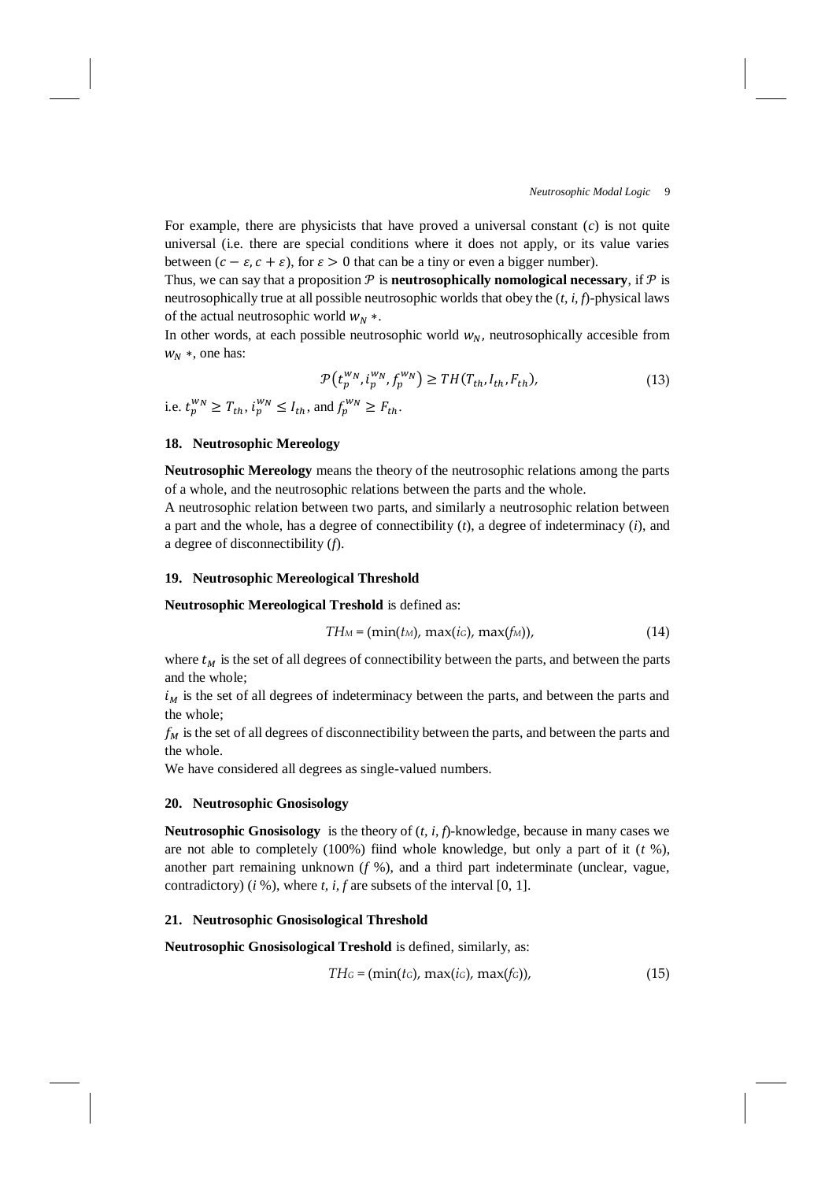For example, there are physicists that have proved a universal constant (*c*) is not quite universal (i.e. there are special conditions where it does not apply, or its value varies between  $(c - \varepsilon, c + \varepsilon)$ , for  $\varepsilon > 0$  that can be a tiny or even a bigger number).

Thus, we can say that a proposition  $P$  is **neutrosophically nomological necessary**, if  $P$  is neutrosophically true at all possible neutrosophic worlds that obey the (*t, i, f*)-physical laws of the actual neutrosophic world  $w<sub>N</sub>$  \*.

In other words, at each possible neutrosophic world  $w_N$ , neutrosophically accesible from  $W_N$  \*, one has:

$$
\mathcal{P}(t_p^{w_N}, i_p^{w_N}, f_p^{w_N}) \ge TH(T_{th}, I_{th}, F_{th}),
$$
  
i.e.  $t_p^{w_N} \ge T_{th}, i_p^{w_N} \le I_{th}$ , and  $f_p^{w_N} \ge F_{th}$ . (13)

### **18. Neutrosophic Mereology**

**Neutrosophic Mereology** means the theory of the neutrosophic relations among the parts of a whole, and the neutrosophic relations between the parts and the whole.

A neutrosophic relation between two parts, and similarly a neutrosophic relation between a part and the whole, has a degree of connectibility (*t*), a degree of indeterminacy (*i*), and a degree of disconnectibility (*f*).

# **19. Neutrosophic Mereological Threshold**

**Neutrosophic Mereological Treshold** is defined as:

$$
TH_M = (\min(t_M), \max(t_G), \max(f_M)), \tag{14}
$$

where  $t<sub>M</sub>$  is the set of all degrees of connectibility between the parts, and between the parts and the whole;

 $i_M$  is the set of all degrees of indeterminacy between the parts, and between the parts and the whole;

 $f_M$  is the set of all degrees of disconnectibility between the parts, and between the parts and the whole.

We have considered all degrees as single-valued numbers.

## **20. Neutrosophic Gnosisology**

**Neutrosophic Gnosisology** is the theory of (*t, i, f*)-knowledge, because in many cases we are not able to completely (100%) fiind whole knowledge, but only a part of it (*t* %), another part remaining unknown (*f* %), and a third part indeterminate (unclear, vague, contradictory) (*i* %), where *t, i, f* are subsets of the interval [0, 1].

#### **21. Neutrosophic Gnosisological Threshold**

**Neutrosophic Gnosisological Treshold** is defined, similarly, as:

$$
TH_G = (\min(t_G), \max(t_G), \max(f_G)), \tag{15}
$$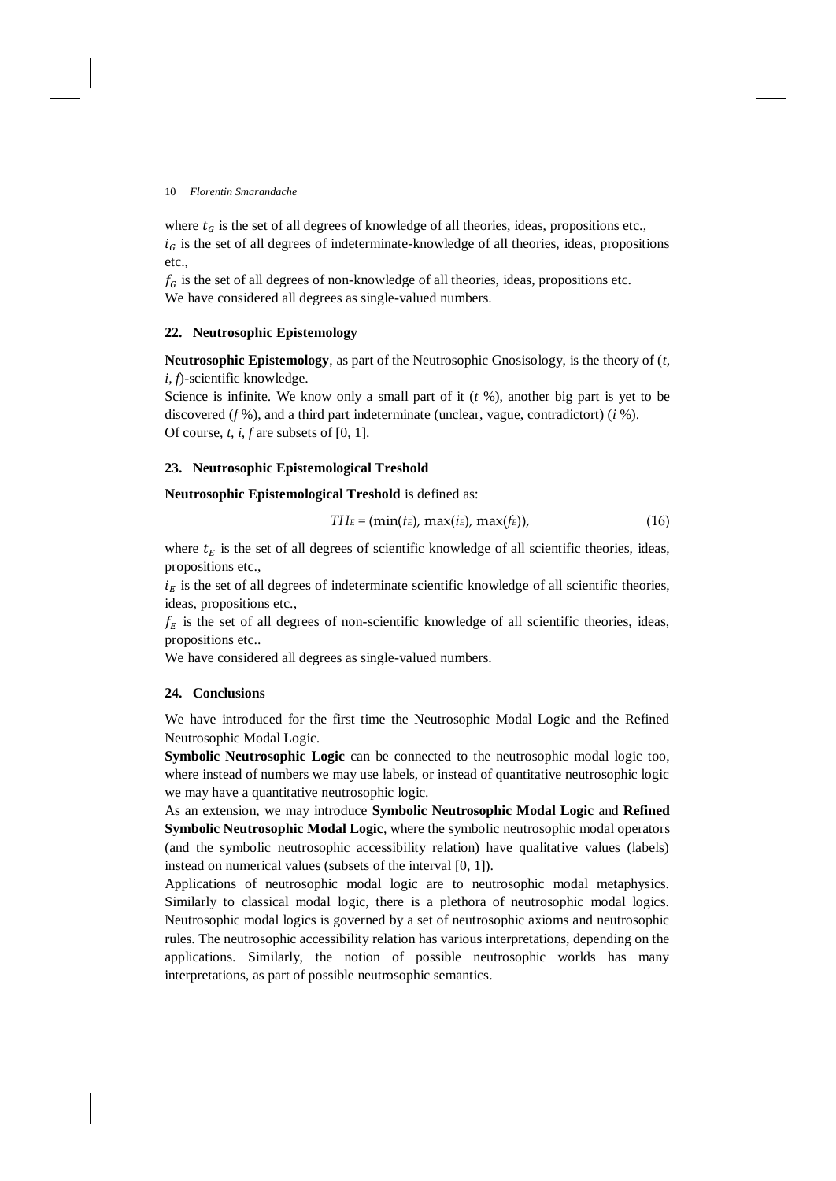where  $t_G$  is the set of all degrees of knowledge of all theories, ideas, propositions etc.,  $i<sub>G</sub>$  is the set of all degrees of indeterminate-knowledge of all theories, ideas, propositions etc.,

 $f_G$  is the set of all degrees of non-knowledge of all theories, ideas, propositions etc. We have considered all degrees as single-valued numbers.

### **22. Neutrosophic Epistemology**

**Neutrosophic Epistemology**, as part of the Neutrosophic Gnosisology, is the theory of (*t, i, f*)-scientific knowledge.

Science is infinite. We know only a small part of it (*t* %), another big part is yet to be discovered (*f* %), and a third part indeterminate (unclear, vague, contradictort) (*i* %). Of course, *t, i, f* are subsets of [0, 1].

#### **23. Neutrosophic Epistemological Treshold**

#### **Neutrosophic Epistemological Treshold** is defined as:

$$
TH_E = (\min(t_E), \max(t_E), \max(f_E)), \qquad (16)
$$

where  $t_E$  is the set of all degrees of scientific knowledge of all scientific theories, ideas, propositions etc.,

 $i<sub>E</sub>$  is the set of all degrees of indeterminate scientific knowledge of all scientific theories, ideas, propositions etc.,

 $f_E$  is the set of all degrees of non-scientific knowledge of all scientific theories, ideas, propositions etc..

We have considered all degrees as single-valued numbers.

### **24. Conclusions**

We have introduced for the first time the Neutrosophic Modal Logic and the Refined Neutrosophic Modal Logic.

**Symbolic Neutrosophic Logic** can be connected to the neutrosophic modal logic too, where instead of numbers we may use labels, or instead of quantitative neutrosophic logic we may have a quantitative neutrosophic logic.

As an extension, we may introduce **Symbolic Neutrosophic Modal Logic** and **Refined Symbolic Neutrosophic Modal Logic**, where the symbolic neutrosophic modal operators (and the symbolic neutrosophic accessibility relation) have qualitative values (labels) instead on numerical values (subsets of the interval [0, 1]).

Applications of neutrosophic modal logic are to neutrosophic modal metaphysics. Similarly to classical modal logic, there is a plethora of neutrosophic modal logics. Neutrosophic modal logics is governed by a set of neutrosophic axioms and neutrosophic rules. The neutrosophic accessibility relation has various interpretations, depending on the applications. Similarly, the notion of possible neutrosophic worlds has many interpretations, as part of possible neutrosophic semantics.